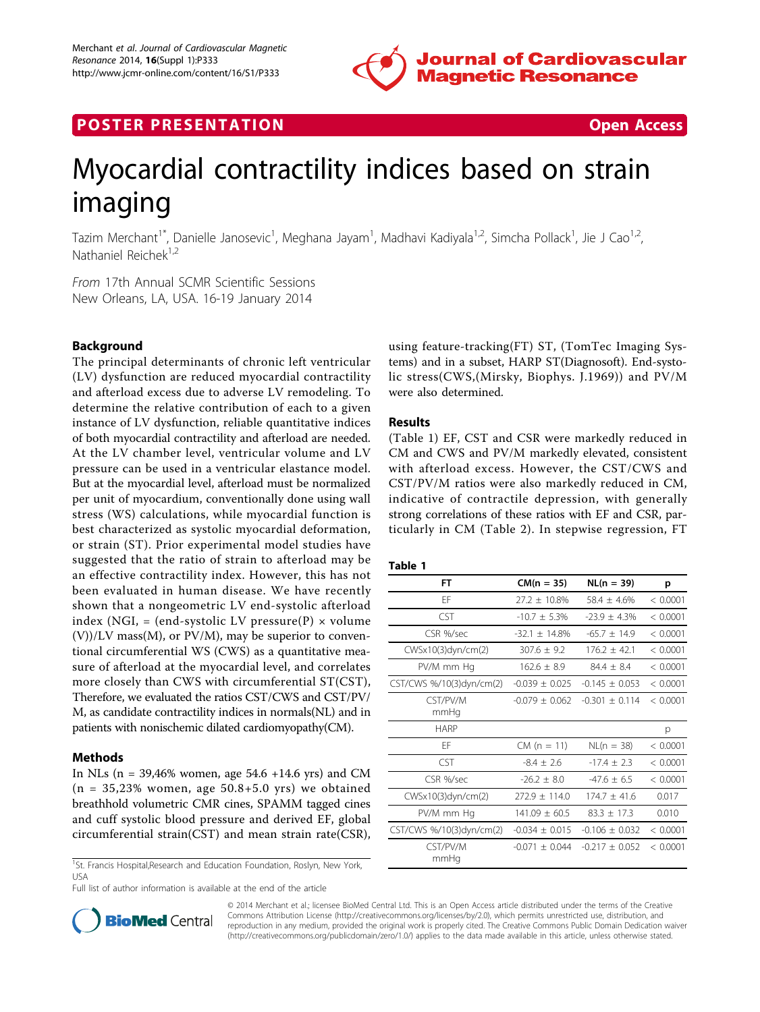

# **POSTER PRESENTATION CONSUMING THE SECOND CONSUMING THE SECOND CONSUMING THE SECOND CONSUMING THE SECOND CONSUMING THE SECOND CONSUMING THE SECOND CONSUMING THE SECOND CONSUMING THE SECOND CONSUMING THE SECOND CONSUMING**



# Myocardial contractility indices based on strain imaging

Tazim Merchant<sup>1\*</sup>, Danielle Janosevic<sup>1</sup>, Meghana Jayam<sup>1</sup>, Madhavi Kadiyala<sup>1,2</sup>, Simcha Pollack<sup>1</sup>, Jie J Cao<sup>1,2</sup>, Nathaniel Reichek1,2

From 17th Annual SCMR Scientific Sessions New Orleans, LA, USA. 16-19 January 2014

# Background

The principal determinants of chronic left ventricular (LV) dysfunction are reduced myocardial contractility and afterload excess due to adverse LV remodeling. To determine the relative contribution of each to a given instance of LV dysfunction, reliable quantitative indices of both myocardial contractility and afterload are needed. At the LV chamber level, ventricular volume and LV pressure can be used in a ventricular elastance model. But at the myocardial level, afterload must be normalized per unit of myocardium, conventionally done using wall stress (WS) calculations, while myocardial function is best characterized as systolic myocardial deformation, or strain (ST). Prior experimental model studies have suggested that the ratio of strain to afterload may be an effective contractility index. However, this has not been evaluated in human disease. We have recently shown that a nongeometric LV end-systolic afterload index (NGI, = (end-systolic LV pressure(P)  $\times$  volume  $(V)/LV$  mass $(M)$ , or  $PV/M$ ), may be superior to conventional circumferential WS (CWS) as a quantitative measure of afterload at the myocardial level, and correlates more closely than CWS with circumferential ST(CST), Therefore, we evaluated the ratios CST/CWS and CST/PV/ M, as candidate contractility indices in normals(NL) and in patients with nonischemic dilated cardiomyopathy(CM).

## Methods

In NLs ( $n = 39,46\%$  women, age 54.6 +14.6 yrs) and CM  $(n = 35,23\%$  women, age  $50.8+5.0$  yrs) we obtained breathhold volumetric CMR cines, SPAMM tagged cines and cuff systolic blood pressure and derived EF, global circumferential strain(CST) and mean strain rate(CSR),

<sup>1</sup>St. Francis Hospital,Research and Education Foundation, Roslyn, New York, USA

Full list of author information is available at the end of the article



# Results

(Table 1) EF, CST and CSR were markedly reduced in CM and CWS and PV/M markedly elevated, consistent with afterload excess. However, the CST/CWS and CST/PV/M ratios were also markedly reduced in CM, indicative of contractile depression, with generally strong correlations of these ratios with EF and CSR, particularly in CM (Table [2](#page-1-0)). In stepwise regression, FT

| ۰.<br>w<br>×<br>. .<br>. .<br>۰. |  |  |  |  |
|----------------------------------|--|--|--|--|
|----------------------------------|--|--|--|--|

| FT                       | $CM(n = 35)$       | $NL(n = 39)$     | p        |
|--------------------------|--------------------|------------------|----------|
| FF                       | $27.2 + 10.8\%$    | $58.4 + 4.6%$    | < 0.0001 |
| <b>CST</b>               | $-10.7 + 5.3\%$    | $-23.9 + 4.3%$   | < 0.0001 |
| CSR %/sec                | $-32.1 \pm 14.8\%$ | $-65.7 + 14.9$   | < 0.0001 |
| $CWSx10(3)$ dyn/cm(2)    | $307.6 + 9.2$      | $176.2 + 42.1$   | < 0.0001 |
| PV/M mm Hg               | $162.6 + 8.9$      | $84.4 + 8.4$     | < 0.0001 |
| CST/CWS %/10(3)dyn/cm(2) | $-0.039 + 0.025$   | $-0.145 + 0.053$ | < 0.0001 |
| CST/PV/M<br>mmHg         | $-0.079 + 0.062$   | $-0.301 + 0.114$ | < 0.0001 |
| <b>HARP</b>              |                    |                  | p        |
| FF                       | $CM (n = 11)$      | $NL(n = 38)$     | < 0.0001 |
| CST                      | $-8.4 + 2.6$       | $-17.4 + 2.3$    | < 0.0001 |
| CSR %/sec                | $-26.2 + 8.0$      | $-47.6 + 6.5$    | < 0.0001 |
| CWSx10(3)dyn/cm(2)       | $772.9 + 114.0$    | $1747 + 416$     | 0.017    |
| PV/M mm Hg               | $141.09 + 60.5$    | $83.3 + 17.3$    | 0.010    |
| CST/CWS %/10(3)dyn/cm(2) | $-0.034 + 0.015$   | $-0.106 + 0.032$ | < 0.0001 |
| CST/PV/M<br>mmHg         | $-0.071 + 0.044$   | $-0.217 + 0.052$ | < 0.0001 |



© 2014 Merchant et al.; licensee BioMed Central Ltd. This is an Open Access article distributed under the terms of the Creative Commons Attribution License [\(http://creativecommons.org/licenses/by/2.0](http://creativecommons.org/licenses/by/2.0)), which permits unrestricted use, distribution, and reproduction in any medium, provided the original work is properly cited. The Creative Commons Public Domain Dedication waiver [\(http://creativecommons.org/publicdomain/zero/1.0/](http://creativecommons.org/publicdomain/zero/1.0/)) applies to the data made available in this article, unless otherwise stated.